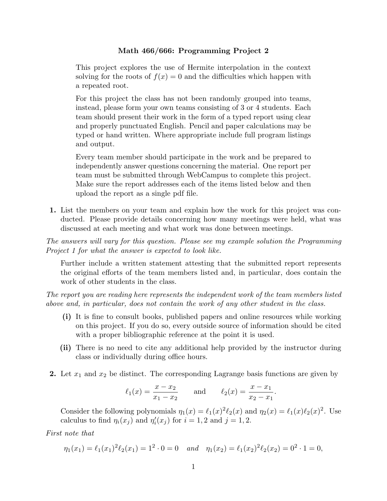## **Math 466/666: Programming Project 2**

This project explores the use of Hermite interpolation in the context solving for the roots of  $f(x) = 0$  and the difficulties which happen with a repeated root.

For this project the class has not been randomly grouped into teams, instead, please form your own teams consisting of 3 or 4 students. Each team should present their work in the form of a typed report using clear and properly punctuated English. Pencil and paper calculations may be typed or hand written. Where appropriate include full program listings and output.

Every team member should participate in the work and be prepared to independently answer questions concerning the material. One report per team must be submitted through WebCampus to complete this project. Make sure the report addresses each of the items listed below and then upload the report as a single pdf file.

**1.** List the members on your team and explain how the work for this project was conducted. Please provide details concerning how many meetings were held, what was discussed at each meeting and what work was done between meetings.

*The answers will vary for this question. Please see my example solution the Programming Project 1 for what the answer is expected to look like.*

Further include a written statement attesting that the submitted report represents the original efforts of the team members listed and, in particular, does contain the work of other students in the class.

*The report you are reading here represents the independent work of the team members listed above and, in particular, does not contain the work of any other student in the class.*

- **(i)** It is fine to consult books, published papers and online resources while working on this project. If you do so, every outside source of information should be cited with a proper bibliographic reference at the point it is used.
- **(ii)** There is no need to cite any additional help provided by the instructor during class or individually during office hours.
- **2.** Let *x*<sup>1</sup> and *x*<sup>2</sup> be distinct. The corresponding Lagrange basis functions are given by

$$
\ell_1(x) = \frac{x - x_2}{x_1 - x_2}
$$
 and  $\ell_2(x) = \frac{x - x_1}{x_2 - x_1}$ .

Consider the following polynomials  $\eta_1(x) = \ell_1(x)^2 \ell_2(x)$  and  $\eta_2(x) = \ell_1(x) \ell_2(x)^2$ . Use calculus to find  $\eta_i(x_j)$  and  $\eta'_i(x_j)$  for  $i = 1, 2$  and  $j = 1, 2$ .

*First note that*

$$
\eta_1(x_1) = \ell_1(x_1)^2 \ell_2(x_1) = 1^2 \cdot 0 = 0 \quad and \quad \eta_1(x_2) = \ell_1(x_2)^2 \ell_2(x_2) = 0^2 \cdot 1 = 0,
$$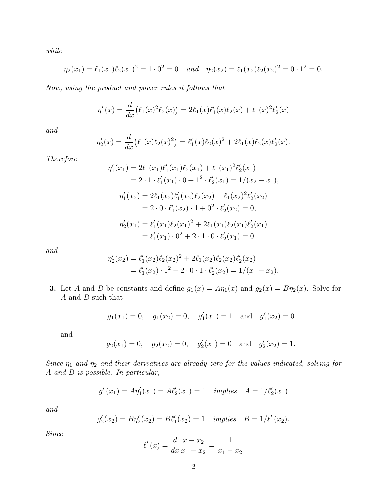*while*

$$
\eta_2(x_1) = \ell_1(x_1)\ell_2(x_1)^2 = 1 \cdot 0^2 = 0 \quad and \quad \eta_2(x_2) = \ell_1(x_2)\ell_2(x_2)^2 = 0 \cdot 1^2 = 0.
$$

*Now, using the product and power rules it follows that*

$$
\eta_1'(x) = \frac{d}{dx} (\ell_1(x)^2 \ell_2(x)) = 2\ell_1(x)\ell_1'(x)\ell_2(x) + \ell_1(x)^2 \ell_2'(x)
$$

*and*

$$
\eta_2'(x) = \frac{d}{dx} (\ell_1(x)\ell_2(x)^2) = \ell_1'(x)\ell_2(x)^2 + 2\ell_1(x)\ell_2(x)\ell_2'(x).
$$

*Therefore*

$$
\eta'_1(x_1) = 2\ell_1(x_1)\ell'_1(x_1)\ell_2(x_1) + \ell_1(x_1)^2\ell'_2(x_1)
$$
  
\n
$$
= 2 \cdot 1 \cdot \ell'_1(x_1) \cdot 0 + 1^2 \cdot \ell'_2(x_1) = 1/(x_2 - x_1),
$$
  
\n
$$
\eta'_1(x_2) = 2\ell_1(x_2)\ell'_1(x_2)\ell_2(x_2) + \ell_1(x_2)^2\ell'_2(x_2)
$$
  
\n
$$
= 2 \cdot 0 \cdot \ell'_1(x_2) \cdot 1 + 0^2 \cdot \ell'_2(x_2) = 0,
$$
  
\n
$$
\eta'_2(x_1) = \ell'_1(x_1)\ell_2(x_1)^2 + 2\ell_1(x_1)\ell_2(x_1)\ell'_2(x_1)
$$
  
\n
$$
= \ell'_1(x_1) \cdot 0^2 + 2 \cdot 1 \cdot 0 \cdot \ell'_2(x_1) = 0
$$

*and*

$$
\eta_2'(x_2) = \ell_1'(x_2)\ell_2(x_2)^2 + 2\ell_1(x_2)\ell_2(x_2)\ell_2'(x_2)
$$
  
=  $\ell_1'(x_2) \cdot 1^2 + 2 \cdot 0 \cdot 1 \cdot \ell_2'(x_2) = 1/(x_1 - x_2).$ 

**3.** Let *A* and *B* be constants and define  $g_1(x) = A\eta_1(x)$  and  $g_2(x) = B\eta_2(x)$ . Solve for *A* and *B* such that

$$
g_1(x_1) = 0
$$
,  $g_1(x_2) = 0$ ,  $g'_1(x_1) = 1$  and  $g'_1(x_2) = 0$ 

and

$$
g_2(x_1) = 0
$$
,  $g_2(x_2) = 0$ ,  $g'_2(x_1) = 0$  and  $g'_2(x_2) = 1$ .

*Since η*<sup>1</sup> *and η*<sup>2</sup> *and their derivatives are already zero for the values indicated, solving for A and B is possible. In particular,*

$$
g'_1(x_1) = A\eta'_1(x_1) = A\ell'_2(x_1) = 1
$$
 implies  $A = 1/\ell'_2(x_1)$ 

*and*

$$
g'_2(x_2) = B\eta'_2(x_2) = B\ell'_1(x_2) = 1
$$
 implies  $B = 1/\ell'_1(x_2)$ .

*Since*

$$
\ell'_1(x) = \frac{d}{dx}\frac{x - x_2}{x_1 - x_2} = \frac{1}{x_1 - x_2}
$$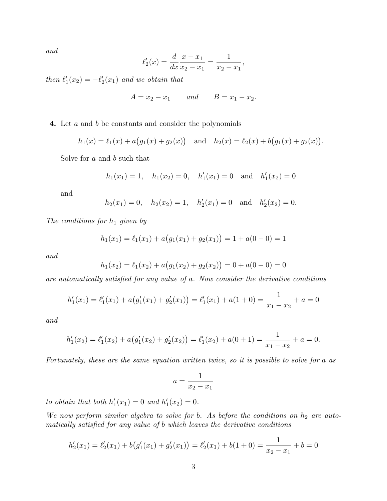*and*

$$
\ell'_2(x) = \frac{d}{dx}\frac{x - x_1}{x_2 - x_1} = \frac{1}{x_2 - x_1},
$$

*then*  $\ell'_1(x_2) = -\ell'_2(x_1)$  *and we obtain that* 

$$
A = x_2 - x_1 \qquad and \qquad B = x_1 - x_2.
$$

**4.** Let *a* and *b* be constants and consider the polynomials

$$
h_1(x) = \ell_1(x) + a(g_1(x) + g_2(x))
$$
 and  $h_2(x) = \ell_2(x) + b(g_1(x) + g_2(x)).$ 

Solve for *a* and *b* such that

$$
h_1(x_1) = 1
$$
,  $h_1(x_2) = 0$ ,  $h'_1(x_1) = 0$  and  $h'_1(x_2) = 0$ 

and

$$
h_2(x_1) = 0
$$
,  $h_2(x_2) = 1$ ,  $h'_2(x_1) = 0$  and  $h'_2(x_2) = 0$ .

*The conditions for h*<sup>1</sup> *given by*

$$
h_1(x_1) = \ell_1(x_1) + a(g_1(x_1) + g_2(x_1)) = 1 + a(0 - 0) = 1
$$

*and*

$$
h_1(x_2) = \ell_1(x_2) + a(g_1(x_2) + g_2(x_2)) = 0 + a(0 - 0) = 0
$$

*are automatically satisfied for any value of a. Now consider the derivative conditions*

$$
h'_1(x_1) = \ell'_1(x_1) + a(g'_1(x_1) + g'_2(x_1)) = \ell'_1(x_1) + a(1+0) = \frac{1}{x_1 - x_2} + a = 0
$$

*and*

$$
h'_1(x_2) = \ell'_1(x_2) + a(g'_1(x_2) + g'_2(x_2)) = \ell'_1(x_2) + a(0+1) = \frac{1}{x_1 - x_2} + a = 0.
$$

*Fortunately, these are the same equation written twice, so it is possible to solve for a as*

$$
a = \frac{1}{x_2 - x_1}
$$

*to obtain that both*  $h'_{1}(x_{1}) = 0$  *and*  $h'_{1}(x_{2}) = 0$ *.* 

*We now perform similar algebra to solve for b. As before the conditions on*  $h_2$  *are automatically satisfied for any value of b which leaves the derivative conditions*

$$
h'_2(x_1) = \ell'_2(x_1) + b\big(g'_1(x_1) + g'_2(x_1)\big) = \ell'_2(x_1) + b(1+0) = \frac{1}{x_2 - x_1} + b = 0
$$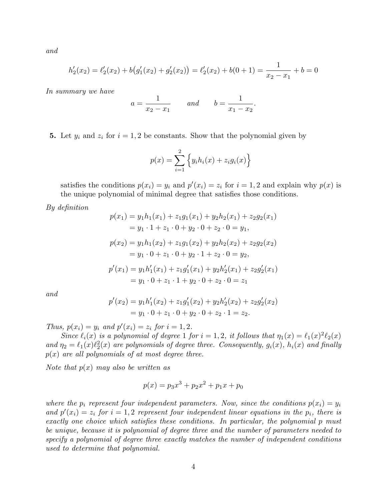*and*

$$
h'_2(x_2) = \ell'_2(x_2) + b\big(g'_1(x_2) + g'_2(x_2)\big) = \ell'_2(x_2) + b(0+1) = \frac{1}{x_2 - x_1} + b = 0
$$

*In summary we have*

$$
a = \frac{1}{x_2 - x_1}
$$
 and  $b = \frac{1}{x_1 - x_2}$ .

**5.** Let  $y_i$  and  $z_i$  for  $i = 1, 2$  be constants. Show that the polynomial given by

$$
p(x) = \sum_{i=1}^{2} \left\{ y_i h_i(x) + z_i g_i(x) \right\}
$$

satisfies the conditions  $p(x_i) = y_i$  and  $p'(x_i) = z_i$  for  $i = 1, 2$  and explain why  $p(x)$  is the unique polynomial of minimal degree that satisfies those conditions.

*By definition*

$$
p(x_1) = y_1h_1(x_1) + z_1g_1(x_1) + y_2h_2(x_1) + z_2g_2(x_1)
$$
  
\n
$$
= y_1 \cdot 1 + z_1 \cdot 0 + y_2 \cdot 0 + z_2 \cdot 0 = y_1,
$$
  
\n
$$
p(x_2) = y_1h_1(x_2) + z_1g_1(x_2) + y_2h_2(x_2) + z_2g_2(x_2)
$$
  
\n
$$
= y_1 \cdot 0 + z_1 \cdot 0 + y_2 \cdot 1 + z_2 \cdot 0 = y_2,
$$
  
\n
$$
p'(x_1) = y_1h'_1(x_1) + z_1g'_1(x_1) + y_2h'_2(x_1) + z_2g'_2(x_1)
$$
  
\n
$$
= y_1 \cdot 0 + z_1 \cdot 1 + y_2 \cdot 0 + z_2 \cdot 0 = z_1
$$

*and*

$$
p'(x_2) = y_1 h'_1(x_2) + z_1 g'_1(x_2) + y_2 h'_2(x_2) + z_2 g'_2(x_2)
$$
  
=  $y_1 \cdot 0 + z_1 \cdot 0 + y_2 \cdot 0 + z_2 \cdot 1 = z_2$ .

*Thus,*  $p(x_i) = y_i$  *and*  $p'(x_i) = z_i$  *for*  $i = 1, 2$ *.* 

*Since*  $\ell_i(x)$  *is a polynomial of degree* 1 *for*  $i = 1, 2$ *, it follows that*  $\eta_1(x) = \ell_1(x)^2 \ell_2(x)$ and  $\eta_2 = \ell_1(x)\ell_2^2(x)$  are polynomials of degree three. Consequently,  $g_i(x)$ ,  $h_i(x)$  and finally *p*(*x*) *are all polynomials of at most degree three.*

*Note that p*(*x*) *may also be written as*

$$
p(x) = p_3 x^3 + p_2 x^2 + p_1 x + p_0
$$

*where the*  $p_i$  *represent four independent parameters. Now, since the conditions*  $p(x_i) = y_i$ *and*  $p'(x_i) = z_i$  *for*  $i = 1, 2$  *represent four independent linear equations in the*  $p_i$ , *there is exactly one choice which satisfies these conditions. In particular, the polynomial p must be unique, because it is polynomial of degree three and the number of parameters needed to specify a polynomial of degree three exactly matches the number of independent conditions used to determine that polynomial.*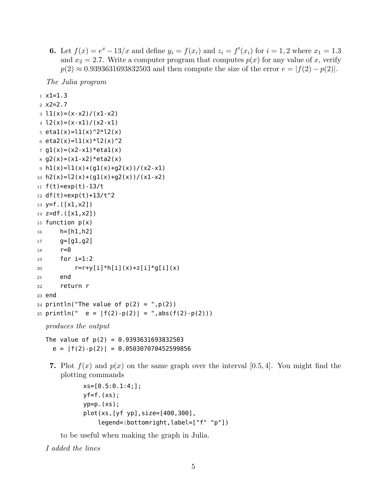**6.** Let  $f(x) = e^x - 13/x$  and define  $y_i = f(x_i)$  and  $z_i = f'(x_i)$  for  $i = 1, 2$  where  $x_1 = 1.3$ and  $x_2 = 2.7$ . Write a computer program that computes  $p(x)$  for any value of *x*, verify  $p(2) \approx 0.9393631693832503$  and then compute the size of the error  $e = |f(2) - p(2)|$ .

*The Julia program*

```
1 \times 1 = 1.32 x2=2.73 \text{ } 11(x)=(x-x2)/(x1-x2)4 l2(x)=(x-x1)/(x2-x1)5 eta1(x)=l1(x)^2*l2(x)
6 eta2(x)=l1(x)*l2(x)^27 g1(x)=(x2-x1)*eta1(x)
8 g2(x)=(x1-x2)*eta2(x)9 h1(x)=11(x)+(g1(x)+g2(x))/(x2-x1)10 h2(x)=l2(x)+(g1(x)+g2(x))/(x1-x2)11 f(t) = exp(t) - 13/t12 df(t) = exp(t) + 13/t^213 y=f.([x1,x2])14 z=df.([x1,x2])15 function p(x)16 h=[h1,h2]
17 \qquad \qquad q=[q1,q2]18 r=0
19 for i=1:2
20 r=r+y[i]*h[i](x)+z[i]*g[i](x)21 end
22 return r
23 end
24 println("The value of p(2) = "p(2))
25 println(" e = |f(2)-p(2)| = "abs(f(2)-p(2)))
```

```
The value of p(2) = 0.9393631693832503e = |f(2)-p(2)| = 0.050307070452599856
```
**7.** Plot  $f(x)$  and  $p(x)$  on the same graph over the interval [0.5,4]. You might find the plotting commands

```
xs=[0.5:0.1:4;];
yf=f.(xs);yp=p.(xs);plot(xs,[yf yp],size=[400,300],
    legend=:bottomright,label=["f" "p"])
```
to be useful when making the graph in Julia.

*I added the lines*

*produces the output*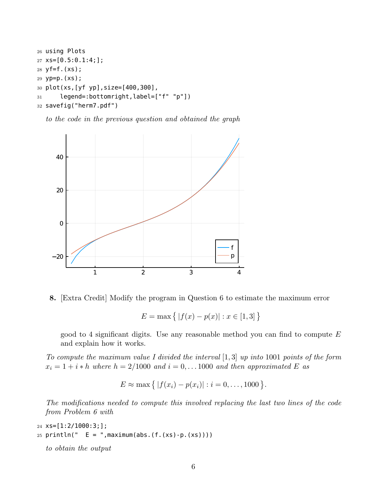```
26 using Plots
27 \text{ XS} = [0.5:0.1:4;];
28 yf=f.(xs);
29 yp=p.(xs);
30 plot(xs,[yf yp],size=[400,300],
31 legend=:bottomright,label=["f" "p"])
32 savefig("herm7.pdf")
```
*to the code in the previous question and obtained the graph*



**8.** [Extra Credit] Modify the program in Question 6 to estimate the maximum error

$$
E=\max\big\{\,|f(x)-p(x)|:x\in[1,3]\,\big\}
$$

good to 4 significant digits. Use any reasonable method you can find to compute *E* and explain how it works.

*To compute the maximum value I divided the interval* [1*,* 3] *up into* 1001 *points of the form*  $x_i = 1 + i * h$  *where*  $h = 2/1000$  *and*  $i = 0, \ldots 1000$  *and then approximated E as* 

$$
E \approx \max \{ |f(x_i) - p(x_i)| : i = 0, ..., 1000 \}.
$$

*The modifications needed to compute this involved replacing the last two lines of the code from Problem 6 with*

```
24 XS = [1:2/1000:3;];25 println(" E = ", maximum(abs.(f.(xs)-p.(xs))))
```
*to obtain the output*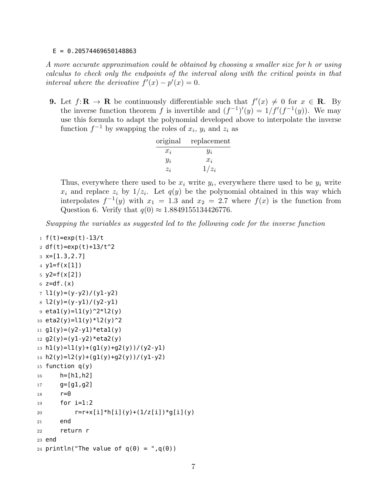## $E = 0.20574469650148863$

*A more accurate approximation could be obtained by choosing a smaller size for h or using calculus to check only the endpoints of the interval along with the critical points in that interval where the derivative*  $f'(x) - p'(x) = 0$ .

**9.** Let  $f: \mathbf{R} \to \mathbf{R}$  be continuously differentiable such that  $f'(x) \neq 0$  for  $x \in \mathbf{R}$ . By the inverse function theorem *f* is invertible and  $(f^{-1})'(y) = 1/f'(f^{-1}(y))$ . We may use this formula to adapt the polynomial developed above to interpolate the inverse function  $f^{-1}$  by swapping the roles of  $x_i$ ,  $y_i$  and  $z_i$  as

| original | replacement |
|----------|-------------|
| $x_i$    | $y_i$       |
| $y_i$    | $x_i$       |
| $z_i$    | $1/z_i$     |

Thus, everywhere there used to be  $x_i$  write  $y_i$ , everywhere there used to be  $y_i$  write  $x_i$  and replace  $z_i$  by  $1/z_i$ . Let  $q(y)$  be the polynomial obtained in this way which interpolates  $f^{-1}(y)$  with  $x_1 = 1.3$  and  $x_2 = 2.7$  where  $f(x)$  is the function from Question 6. Verify that  $q(0) \approx 1.8849155134426776$ .

*Swapping the variables as suggested led to the following code for the inverse function*

```
_1 f(t)=exp(t)-13/t
2 df(t)=exp(t)+13/t^23 \times = [1.3, 2.7]4 y1=f(x[1])
5 y2=f(x[2])6 z=df.(x)7 \; 11(y)=(y-y2)/(y1-y2)8 \frac{12(y)=(y-y1)}{(y^2-y1)}9 eta1(y)=l1(y)^2*l2(y)
10 eta2(y)=l1(y)*l2(y)^211 g1(y)=(y2-y1)*eta1(y)12 g2(y)=(y1-y2)*eta2(y)13 h1(y)=l1(y)+(g1(y)+g2(y))/(y2-y1)
14 h2(y)=l2(y)+(g1(y)+g2(y))/(y1-y2)
15 function q(y)_{16} h=[h1,h2]
17 \qquad \qquad g=[g1,g2]18 r=019 for i=1:2
20 r=r+x[i]*h[i](y)+(1/z[i])*g[i](y)21 end
22 return r
23 end
24 println("The value of q(\theta) = "q(\theta))
```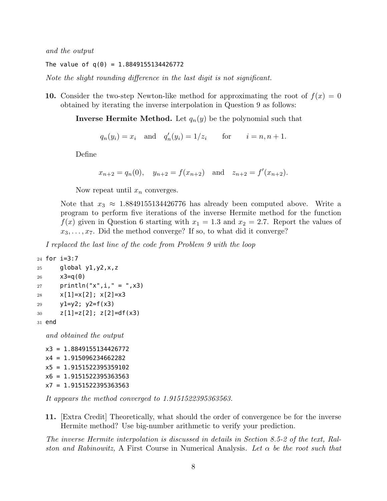*and the output*

The value of  $q(0) = 1.8849155134426772$ 

*Note the slight rounding difference in the last digit is not significant.*

**10.** Consider the two-step Newton-like method for approximating the root of  $f(x) = 0$ obtained by iterating the inverse interpolation in Question 9 as follows:

**Inverse Hermite Method.** Let  $q_n(y)$  be the polynomial such that

 $q_n(y_i) = x_i$  and  $q'_n(y_i) = 1/z_i$  for  $i = n, n + 1$ .

Define

$$
x_{n+2} = q_n(0)
$$
,  $y_{n+2} = f(x_{n+2})$  and  $z_{n+2} = f'(x_{n+2})$ .

Now repeat until *x<sup>n</sup>* converges.

Note that  $x_3 \approx 1.8849155134426776$  has already been computed above. Write a program to perform five iterations of the inverse Hermite method for the function  $f(x)$  given in Question 6 starting with  $x_1 = 1.3$  and  $x_2 = 2.7$ . Report the values of  $x_3, \ldots, x_7$ . Did the method converge? If so, to what did it converge?

*I replaced the last line of the code from Problem 9 with the loop*

```
24 for i=3:7
25 global y1,y2,x,z
26 x3=q(0)27 println("x", i, " = ", x3)
28 x[1]=x[2]; x[2]=x329 y1=y2; y2=f(x3)
30 z[1]=z[2]; z[2]=df(x3)31 end
```
*and obtained the output*

```
x3 = 1.8849155134426772
x4 = 1.915096234662282
x5 = 1.9151522395359102
x6 = 1.9151522395363563
x7 = 1.9151522395363563
```
*It appears the method converged to 1.9151522395363563.*

**11.** [Extra Credit] Theoretically, what should the order of convergence be for the inverse Hermite method? Use big-number arithmetic to verify your prediction.

*The inverse Hermite interpolation is discussed in details in Section 8.5-2 of the text, Ralston and Rabinowitz,* A First Course in Numerical Analysis*. Let α be the root such that*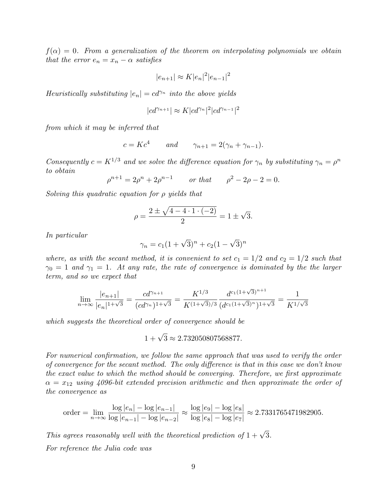$f(\alpha) = 0$ . From a generalization of the theorem on interpolating polynomials we obtain *that the error*  $e_n = x_n - \alpha$  *satisfies* 

$$
|e_{n+1}| \approx K |e_n|^2 |e_{n-1}|^2
$$

*Heuristically substituting*  $|e_n| = cd^{\gamma_n}$  *into the above yields* 

$$
|cd^{\gamma_{n+1}}| \approx K |cd^{\gamma_n}|^2 |cd^{\gamma_{n-1}}|^2
$$

*from which it may be inferred that*

$$
c = Kc4 \qquad and \qquad \gamma_{n+1} = 2(\gamma_n + \gamma_{n-1}).
$$

*Consequently*  $c = K^{1/3}$  *and we solve the difference equation for*  $\gamma_n$  *by substituting*  $\gamma_n = \rho^n$ *to obtain*

 $\rho^{n+1} = 2\rho^n + 2\rho^{n-1}$  *or that*  $\rho^2 - 2\rho - 2 = 0$ *.* 

*Solving this quadratic equation for ρ yields that*

$$
\rho = \frac{2 \pm \sqrt{4 - 4 \cdot 1 \cdot (-2)}}{2} = 1 \pm \sqrt{3}.
$$

*In particular*

$$
\gamma_n = c_1(1+\sqrt{3})^n + c_2(1-\sqrt{3})^n
$$

*where, as with the secant method, it is convenient to set*  $c_1 = 1/2$  *and*  $c_2 = 1/2$  *such that*  $\gamma_0 = 1$  and  $\gamma_1 = 1$ . At any rate, the rate of convergence is dominated by the the larger *term, and so we expect that*

$$
\lim_{n \to \infty} \frac{|e_{n+1}|}{|e_n|^{1+\sqrt{3}}} = \frac{cd^{\gamma_{n+1}}}{(cd^{\gamma_n})^{1+\sqrt{3}}} = \frac{K^{1/3}}{K^{(1+\sqrt{3})/3}} \frac{d^{c_1(1+\sqrt{3})^{n+1}}}{(d^{c_1(1+\sqrt{3})^n})^{1+\sqrt{3}}} = \frac{1}{K^{1/\sqrt{3}}}
$$

*which suggests the theoretical order of convergence should be*

$$
1 + \sqrt{3} \approx 2.732050807568877.
$$

*For numerical confirmation, we follow the same approach that was used to verify the order of convergence for the secant method. The only difference is that in this case we don't know the exact value to which the method should be converging. Therefore, we first approximate*  $\alpha = x_{12}$  *using 4096-bit extended precision arithmetic and then approximate the order of the convergence as*

$$
\text{order} = \lim_{n \to \infty} \frac{\log |e_n| - \log |e_{n-1}|}{\log |e_{n-1}| - \log |e_{n-2}|} \approx \frac{\log |e_9| - \log |e_8|}{\log |e_8| - \log |e_7|} \approx 2.7331765471982905.
$$

*This agrees reasonably well with the theoretical prediction of*  $1 + \sqrt{3}$ *. For reference the Julia code was*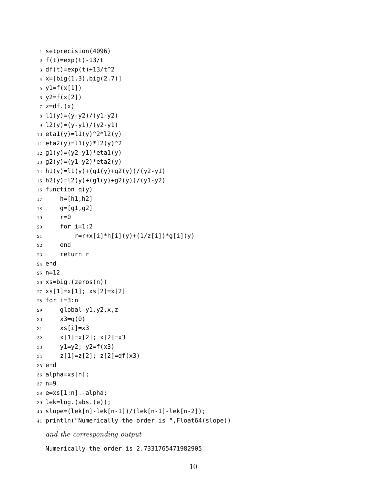```
1 setprecision(4096)
2 f(t) = exp(t) - 13/t3 df(t)=exp(t)+13/t^24 x=[big(1.3),big(2.7)]5 \text{ y1=f(x[1])}6 y2=f(x[2])7 \text{ z=df.}(x)8 \text{ } 11(y)=(y-y2)/(y1-y2)9 l2(y)=(y-y1)/(y2-y1)
10 eta1(y)=l1(y)^2*l2(y)
11 eta2(y)=l1(y)*l2(y)^212 g1(y)=(y2-y1)*eta1(y)13 g2(y)=(y1-y2)*eta2(y)
14 h1(y)=l1(y)+(g1(y)+g2(y))/(y2-y1)
15 h2(y)=l2(y)+(gl(y)+g2(y))/(yl-y2)16 function q(y)17 h=[h1,h2]
18 g=[g1,g2]
19 r=020 for i=1:2
21 r=r+x[i]*h[i](y)+(1/z[i])*g[i](y)22 end
23 return r
24 end
25 n=12
26 xs=big.(zeros(n))
27 \text{ xs}[1]=x[1]; \text{ xs}[2]=x[2]28 for i=3:n29 global y1,y2,x,z
30 x3=q(0)31 \times S[i]=x3x[1]=x[2]; x[2]=x333 y1=y2; y2=f(x3)
34 z[1]=z[2]; z[2]=df(x3)
35 end
36 alpha=xs[n];
37 n=9
38 e=xs[1:n].-alpha;
39 lek=log.(abs.(e));
40 slope=(lek[n]-lek[n-1])/(lek[n-1]-lek[n-2]);
41 println("Numerically the order is ",Float64(slope))
  and the corresponding output
```
Numerically the order is 2.7331765471982905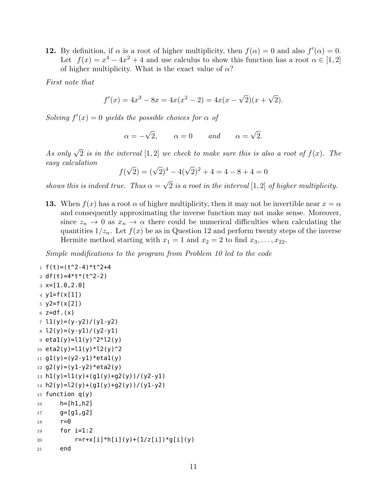**12.** By definition, if  $\alpha$  is a root of higher multiplicity, then  $f(\alpha) = 0$  and also  $f'(\alpha) = 0$ . Let  $f(x) = x^4 - 4x^2 + 4$  and use calculus to show this function has a root  $\alpha \in [1, 2]$ of higher multiplicity. What is the exact value of *α*?

*First note that*

$$
f'(x) = 4x3 - 8x = 4x(x2 - 2) = 4x(x - \sqrt{2})(x + \sqrt{2}).
$$

*Solving*  $f'(x) = 0$  *yields the possible choices for*  $\alpha$  *of* 

$$
\alpha = -\sqrt{2}, \qquad \alpha = 0 \qquad and \qquad \alpha = \sqrt{2}.
$$

*As only*  $\sqrt{2}$  *is in the interval* [1, 2] *we check to make sure this is also a root of*  $f(x)$ *. The easy calculation*

$$
f(\sqrt{2}) = (\sqrt{2})^4 - 4(\sqrt{2})^2 + 4 = 4 - 8 + 4 = 0
$$

*shows this is indeed true. Thus*  $\alpha = \sqrt{2}$  *is a root in the interval* [1, 2] *of higher multiplicity.* 

**13.** When  $f(x)$  has a root  $\alpha$  of higher multiplicity, then it may not be invertible near  $x = \alpha$ and consequently approximating the inverse function may not make sense. Moreover, since  $z_n \to 0$  as  $x_n \to \alpha$  there could be numerical difficulties when calculating the quantities  $1/z_n$ . Let  $f(x)$  be as in Question 12 and perform twenty steps of the inverse Hermite method starting with  $x_1 = 1$  and  $x_2 = 2$  to find  $x_3, \ldots, x_{22}$ .

*Simple modifications to the program from Problem 10 led to the code*

```
1 f(t) = (t^2 - 4)*t^2 + 42 df(t)=4*t*(t^2-2)3 \times = [1.0, 2.0]4 y1=f(x[1])
5 \text{ y2=f(x[2])}6 z=df.(x)7 \; l1(y)=(y-y2)/(y1-y2)8 \frac{12(y)=(y-y1)}{(y^2-y1)}9 eta1(y)=l1(y)^2*l2(y)
10 eta2(y)=l1(y)*l2(y)^211 g1(y)=(y2-y1)*eta1(y)12 g(2(y)=(y1-y2)*eta(2(y))13 h1(y)=l1(y)+(g1(y)+g2(y))/(y2-y1)
14 h2(y)=l2(y)+(g1(y)+g2(y))/(y1-y2)
15 function q(y)16 h=[h1,h2]
17 g=[g1,g2]18 r=0
19 for i=1:2
20 r=r+x[i]*h[i](y)+(1/z[i])*g[i](y)21 end
```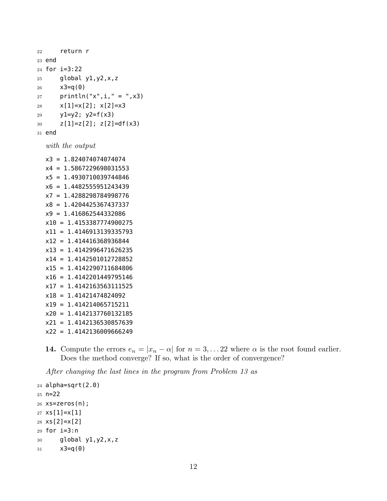```
22 return r
23 end
24 for i=3:22
25 global y1,y2,x,z
26 x3=q(0)27 println("x",i," = ",x3)
28 x[1]=x[2]; x[2]=x329 y1=y2; y2=f(x3)
30 z[1]=z[2]; z[2]=df(x3)31 end
```

```
with the output
```
x3 = 1.824074074074074 x4 = 1.5867229698031553 x5 = 1.4930710039744846 x6 = 1.4482555951243439 x7 = 1.4288298784998776 x8 = 1.4204425367437337 x9 = 1.416862544332086 x10 = 1.4153387774900275 x11 = 1.4146913139335793 x12 = 1.414416368936844 x13 = 1.4142996471626235 x14 = 1.4142501012728852 x15 = 1.4142290711684806 x16 = 1.4142201449795146 x17 = 1.4142163563111525 x18 = 1.41421474824092 x19 = 1.414214065715211 x20 = 1.4142137760132185 x21 = 1.4142136530857639 x22 = 1.4142136009666249

**14.** Compute the errors  $e_n = |x_n - \alpha|$  for  $n = 3, \ldots, 22$  where  $\alpha$  is the root found earlier. Does the method converge? If so, what is the order of convergence?

*After changing the last lines in the program from Problem 13 as*

```
24 alpha=sqrt(2.0)
25 n=22
26 xs=zeros(n);
27 xs[1]=x[1]28 xs[2]=x[2]29 for i=3:n
30 global y1,y2,x,z
31 x3=q(0)
```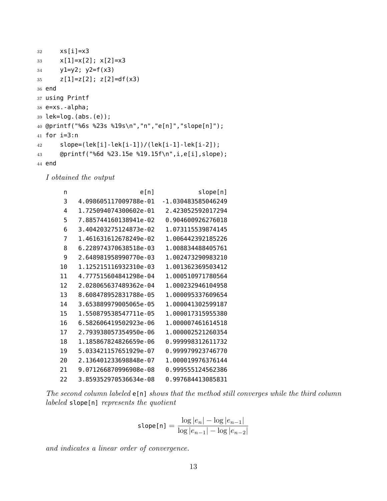```
32 xs[i]=x3
33 x[1]=x[2]; x[2]=x334 y1=y2; y2=f(x3)
35 z[1]=z[2]; z[2]=df(x3)36 end
37 using Printf
38 e=xs.-alpha;
39 lek=log.(abs.(e));
40 @printf("%6s %23s %19s\n","n","e[n]","slope[n]");
41 for i=3:n
42 slope=(lek[i]-lek[i-1])/(lek[i-1]-lek[i-2]);
43 @printf("%6d %23.15e %19.15f\n",i,e[i],slope);
44 end
```
*I obtained the output*

| n  | e[n]                  | slope[n]           |
|----|-----------------------|--------------------|
| 3  | 4.098605117009788e-01 | -1.030483585046249 |
| 4  | 1.725094074300602e-01 | 2.423052592017294  |
| 5  | 7.885744160138941e-02 | 0.904600926276018  |
| 6  | 3.404203275124873e-02 | 1.073115539874145  |
| 7  | 1.461631612678249e-02 | 1.006442392185226  |
| 8  | 6.228974370638518e-03 | 1.008834488405761  |
| 9  | 2.648981958990770e-03 | 1.002473290983210  |
| 10 | 1.125215116932310e-03 | 1.001362369503412  |
| 11 | 4.777515604841298e-04 | 1.000510971780564  |
| 12 | 2.028065637489362e-04 | 1.000232946104958  |
| 13 | 8.608478952831788e-05 | 1.000095337609654  |
| 14 | 3.653889979005065e-05 | 1.000041302599187  |
| 15 | 1.550879538547711e-05 | 1.000017315955380  |
| 16 | 6.582606419502923e-06 | 1.000007461614518  |
| 17 | 2.793938057354950e-06 | 1.000002521260354  |
| 18 | 1.185867824826659e-06 | 0.999998312611732  |
| 19 | 5.033421157651929e-07 | 0.999979923746770  |
| 20 | 2.136401233698848e-07 | 1.000019976376144  |
| 21 | 9.071266870996908e-08 | 0.999555124562386  |
| 22 | 3.859352970536634e-08 | 0.997684413085831  |

*The second column labeled* e[n] *shows that the method still converges while the third column labeled* slope[n] *represents the quotient*

$$
\text{slope[n]} = \frac{\log |e_n| - \log |e_{n-1}|}{\log |e_{n-1}| - \log |e_{n-2}|}
$$

*and indicates a linear order of convergence.*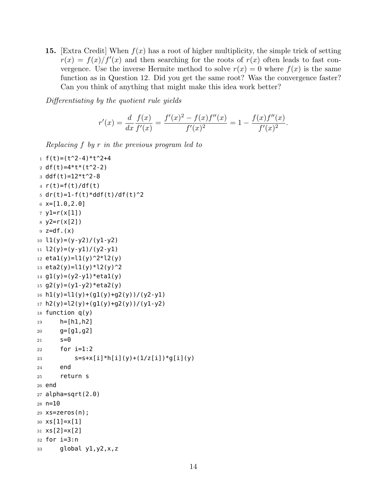**15.** [Extra Credit] When *f*(*x*) has a root of higher multiplicity, the simple trick of setting  $r(x) = f(x)/f'(x)$  and then searching for the roots of  $r(x)$  often leads to fast convergence. Use the inverse Hermite method to solve  $r(x) = 0$  where  $f(x)$  is the same function as in Question 12. Did you get the same root? Was the convergence faster? Can you think of anything that might make this idea work better?

*Differentiating by the quotient rule yields*

$$
r'(x) = \frac{d}{dx} \frac{f(x)}{f'(x)} = \frac{f'(x)^2 - f(x)f''(x)}{f'(x)^2} = 1 - \frac{f(x)f''(x)}{f'(x)^2}.
$$

*Replacing f by r in the previous program led to*

```
1 f(t) = (t^2 - 4)*t^2 + 42 df(t)=4*t*(t^2-2)3 ddf(t)=12*t^2-84 r(t)=f(t)/df(t)5 dr(t)=1-f(t)*ddf(t)/df(t)^2
6 \times = [1.0, 2.0]7 \text{ y1} = r(x[1])8 y2=r(x[2])
9 z=df.(x)10 l1(y)=(y-y2)/(y1-y2)11 l2(y)=(y-y1)/(y2-y1)12 etal(y)=l1(y)^2*l2(y)13 eta2(y)=l1(y)*l2(y)^2
14 g1(y)=(y2-y1)*eta1(y)15 g2(y)=(y1-y2)*eta2(y)16 h1(y)=l1(y)+(g1(y)+g2(y))/(y2-y1)
17 h2(y)=12(y)+(g1(y)+g2(y))/(y1-y2)18 function q(y)19 h=[h1,h2]
20 g=[g1, g2]21 S=022 for i=1:2
23 S=S+X[i]*h[i](y)+(1/z[i])*g[i](y)24 end
25 return s
26 end
27 alpha=sqrt(2.0)
28 n=10
29 xs=zeros(n);
30 xs[1]=x[1]
31 \times S[2]=X[2]32 for i=3:n33 global y1,y2,x,z
```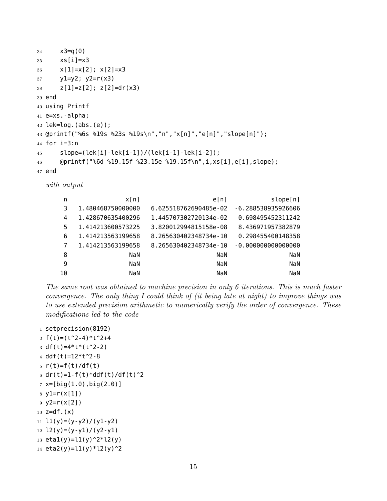```
34 x3=q(0)35 xs[i]=x3
36 \times [1]=x[2]; x[2]=x337 y1=y2; y2=r(x3)
38 z[1]=z[2]; z[2]=dr(x3)39 end
40 using Printf
41 e=xs.-alpha;
42 lek=log.(abs.(e));
43 @printf("%6s %19s %23s %19s\n","n","x[n]","e[n]","slope[n]");
44 for i=3:n
45 slope=(lek[i]-lek[i-1])/(lek[i-1]-lek[i-2]);
46 @printf("%6d %19.15f %23.15e %19.15f\n",i,xs[i],e[i],slope);
47 end
```
*with output*

| n  | x[n]              | e[n]                  | slope[n]            |
|----|-------------------|-----------------------|---------------------|
| 3  | 1.480468750000000 | 6.625518762690485e-02 | -6.288538935926606  |
| 4  | 1.428670635400296 | 1.445707302720134e-02 | 0.698495452311242   |
| 5  | 1.414213600573225 | 3.820012994815158e-08 | 8.436971957382879   |
| 6  | 1.414213563199658 | 8.265630402348734e-10 | 0.298455400148358   |
| 7  | 1.414213563199658 | 8.265630402348734e-10 | $-0.00000000000000$ |
| 8  | NaN               | NaN                   | NaN                 |
| 9  | NaN               | NaN                   | NaN                 |
| 10 | NaN               | NaN                   | NaN                 |

*The same root was obtained to machine precision in only 6 iterations. This is much faster convergence. The only thing I could think of (it being late at night) to improve things was to use extended precision arithmetic to numerically verify the order of convergence. These modifications led to the code*

```
1 setprecision(8192)
2 f(t)=(t^2-4)*t^2-43 \text{ df}(\text{t})=4*t*(\text{t}^2-2)4 ddf(t)=12*t^2-85 r(t)=f(t)/df(t)6 dr(t)=1-f(t)*ddf(t)/df(t)^2
7 x=[big(1.0),big(2.0)]8 y1=r(x[1])
9 y2=r(x[2])10 z = df. (x)11 l1(y)=(y-y2)/(y1-y2)12 \frac{12(y)=(y-y1)}{(y^2-y1)}13 etal(y)=l1(y)^2*l2(y)
14 eta2(y)=l1(y)*l2(y)^2
```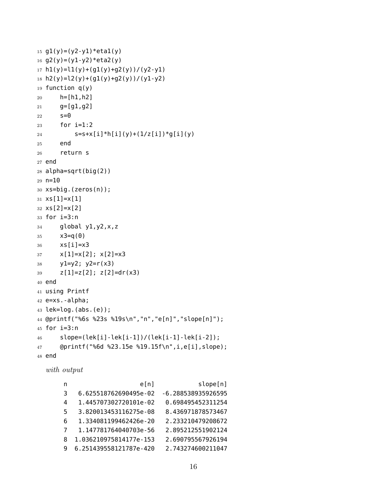```
15 g1(y)=(y2-y1)*eta1(y)16 g2(y)=(y1-y2)*eta2(y)
17 h1(y)=l1(y)+(g1(y)+g2(y))/(y2-y1)18 h2(y)=l2(y)+(g1(y)+g2(y))/(y1-y2)
19 function q(y)20 h=[h1,h2]
21 \text{ } g=[g1,g2]
22 S=023 for i=1:2
24 S=S+X[i]*h[i](y)+(1/z[i])*g[i](y)25 end
26 return s
27 end
28 alpha=sqrt(big(2))
29 n=10
30 xs=big.(zeros(n));
31 \times S[1]=X[1]32 xs[2]=x[2]
33 for i=3:n34 global y1,y2,x,z
35 x3=q(0)36 xs[i]=x3
37 \times [1]=x[2]; x[2]=x338 y1=y2; y2 = r(x3)39 \t z[1]=z[2]; z[2]=dr(x3)40 end
41 using Printf
42 e=xs.-alpha;
43 lek=log.(abs.(e));
44 @printf("%6s %23s %19s\n","n","e[n]","slope[n]");
45 for i=3:n
46 slope=(lek[i]-lek[i-1])/(lek[i-1]-lek[i-2]);
47 @printf("%6d %23.15e %19.15f\n",i,e[i],slope);
48 end
```
*with output*

| n | e[n]                   | slope[n]           |
|---|------------------------|--------------------|
| 3 | 6.625518762690495e-02  | -6.288538935926595 |
| 4 | 1.445707302720101e-02  | 0.698495452311254  |
| 5 | 3.820013453116275e-08  | 8.436971878573467  |
| 6 | 1.334081199462426e-20  | 2.233210479208672  |
| 7 | 1.147781764040703e-56  | 2.895212551902124  |
| 8 | 1.036210975814177e-153 | 2.690795567926194  |
| q | 6.251439558121787e-420 | 2.743274600211047  |